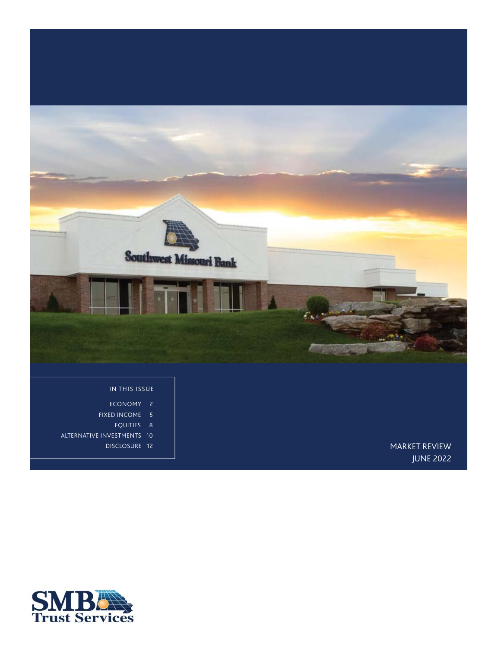

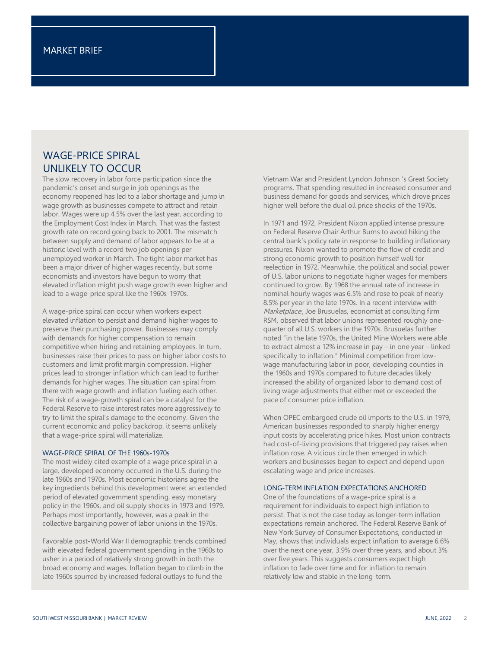# WAGE-PRICE SPIRAL UNLIKELY TO OCCUR

The slow recovery in labor force participation since the pandemic's onset and surge in job openings as the economy reopened has led to a labor shortage and jump in wage growth as businesses compete to attract and retain labor. Wages were up 4.5% over the last year, according to the Employment Cost Index in March. That was the fastest growth rate on record going back to 2001. The mismatch between supply and demand of labor appears to be at a historic level with a record two job openings per unemployed worker in March. The tight labor market has been a major driver of higher wages recently, but some economists and investors have begun to worry that elevated inflation might push wage growth even higher and lead to a wage-price spiral like the 1960s-1970s.

A wage-price spiral can occur when workers expect elevated inflation to persist and demand higher wages to preserve their purchasing power. Businesses may comply with demands for higher compensation to remain competitive when hiring and retaining employees. In turn, businesses raise their prices to pass on higher labor costs to customers and limit profit margin compression. Higher prices lead to stronger inflation which can lead to further demands for higher wages. The situation can spiral from there with wage growth and inflation fueling each other. The risk of a wage-growth spiral can be a catalyst for the Federal Reserve to raise interest rates more aggressively to try to limit the spiral's damage to the economy. Given the current economic and policy backdrop, it seems unlikely that a wage-price spiral will materialize.

#### WAGE-PRICE SPIRAL OF THE 1960s-1970s

The most widely cited example of a wage price spiral in a large, developed economy occurred in the U.S. during the late 1960s and 1970s. Most economic historians agree the key ingredients behind this development were: an extended period of elevated government spending, easy monetary policy in the 1960s, and oil supply shocks in 1973 and 1979. Perhaps most importantly, however, was a peak in the collective bargaining power of labor unions in the 1970s.

Favorable post-World War II demographic trends combined with elevated federal government spending in the 1960s to usher in a period of relatively strong growth in both the broad economy and wages. Inflation began to climb in the late 1960s spurred by increased federal outlays to fund the

Vietnam War and President Lyndon Johnson 's Great Society programs. That spending resulted in increased consumer and business demand for goods and services, which drove prices higher well before the dual oil price shocks of the 1970s.

In 1971 and 1972, President Nixon applied intense pressure on Federal Reserve Chair Arthur Burns to avoid hiking the central bank's policy rate in response to building inflationary pressures. Nixon wanted to promote the flow of credit and strong economic growth to position himself well for reelection in 1972. Meanwhile, the political and social power of U.S. labor unions to negotiate higher wages for members continued to grow. By 1968 the annual rate of increase in nominal hourly wages was 6.5% and rose to peak of nearly 8.5% per year in the late 1970s. In a recent interview with Marketplace, Joe Brusuelas, economist at consulting firm RSM, observed that labor unions represented roughly onequarter of all U.S. workers in the 1970s. Brusuelas further noted "in the late 1970s, the United Mine Workers were able to extract almost a 12% increase in pay – in one year – linked specifically to inflation." Minimal competition from lowwage manufacturing labor in poor, developing counties in the 1960s and 1970s compared to future decades likely increased the ability of organized labor to demand cost of living wage adjustments that either met or exceeded the pace of consumer price inflation.

When OPEC embargoed crude oil imports to the U.S. in 1979, American businesses responded to sharply higher energy input costs by accelerating price hikes. Most union contracts had cost-of-living provisions that triggered pay raises when inflation rose. A vicious circle then emerged in which workers and businesses began to expect and depend upon escalating wage and price increases.

#### LONG-TERM INFLATION EXPECTATIONS ANCHORED

One of the foundations of a wage-price spiral is a requirement for individuals to expect high inflation to persist. That is not the case today as longer-term inflation expectations remain anchored. The Federal Reserve Bank of New York Survey of Consumer Expectations, conducted in May, shows that individuals expect inflation to average 6.6% over the next one year, 3.9% over three years, and about 3% over five years. This suggests consumers expect high inflation to fade over time and for inflation to remain relatively low and stable in the long-term.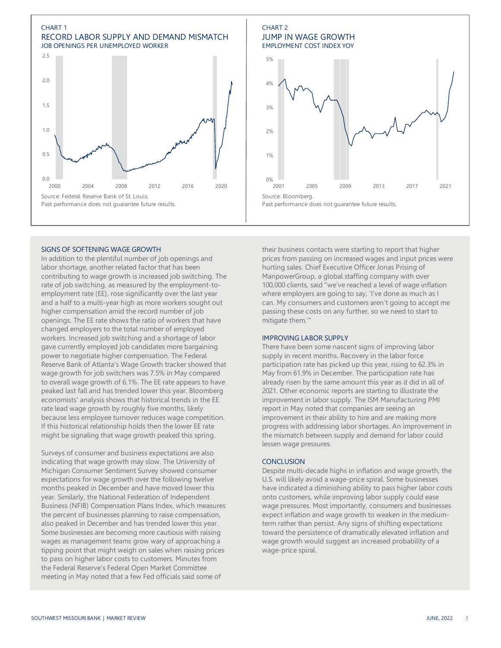

### SIGNS OF SOFTENING WAGE GROWTH

In addition to the plentiful number of job openings and labor shortage, another related factor that has been contributing to wage growth is increased job switching. The rate of job switching, as measured by the employment-toemployment rate (EE), rose significantly over the last year and a half to a multi-year high as more workers sought out higher compensation amid the record number of job openings. The EE rate shows the ratio of workers that have changed employers to the total number of employed workers. Increased job switching and a shortage of labor gave currently employed job candidates more bargaining power to negotiate higher compensation. The Federal Reserve Bank of Atlanta's Wage Growth tracker showed that wage growth for job switchers was 7.5% in May compared to overall wage growth of 6.1%. The EE rate appears to have peaked last fall and has trended lower this year. Bloomberg economists' analysis shows that historical trends in the EE rate lead wage growth by roughly five months, likely because less employee turnover reduces wage competition. If this historical relationship holds then the lower EE rate might be signaling that wage growth peaked this spring.

Surveys of consumer and business expectations are also indicating that wage growth may slow. The University of Michigan Consumer Sentiment Survey showed consumer expectations for wage growth over the following twelve months peaked in December and have moved lower this year. Similarly, the National Federation of Independent Business (NFIB) Compensation Plans Index, which measures the percent of businesses planning to raise compensation, also peaked in December and has trended lower this year. Some businesses are becoming more cautious with raising wages as management teams grow wary of approaching a tipping point that might weigh on sales when raising prices to pass on higher labor costs to customers. Minutes from the Federal Reserve's Federal Open Market Committee meeting in May noted that a few Fed officials said some of



their business contacts were starting to report that higher prices from passing on increased wages and input prices were hurting sales. Chief Executive Officer Jonas Prising of ManpowerGroup, a global staffing company with over 100,000 clients, said "we've reached a level of wage inflation where employers are going to say, 'I've done as much as I can. My consumers and customers aren't going to accept me passing these costs on any further, so we need to start to mitigate them.'"

#### IMPROVING LABOR SUPPLY

There have been some nascent signs of improving labor supply in recent months. Recovery in the labor force participation rate has picked up this year, rising to 62.3% in May from 61.9% in December. The participation rate has already risen by the same amount this year as it did in all of 2021. Other economic reports are starting to illustrate the improvement in labor supply. The ISM Manufacturing PMI report in May noted that companies are seeing an improvement in their ability to hire and are making more progress with addressing labor shortages. An improvement in the mismatch between supply and demand for labor could lessen wage pressures.

#### **CONCLUSION**

Despite multi-decade highs in inflation and wage growth, the U.S. will likely avoid a wage-price spiral. Some businesses have indicated a diminishing ability to pass higher labor costs onto customers, while improving labor supply could ease wage pressures. Most importantly, consumers and businesses expect inflation and wage growth to weaken in the mediumterm rather than persist. Any signs of shifting expectations toward the persistence of dramatically elevated inflation and wage growth would suggest an increased probability of a wage-price spiral.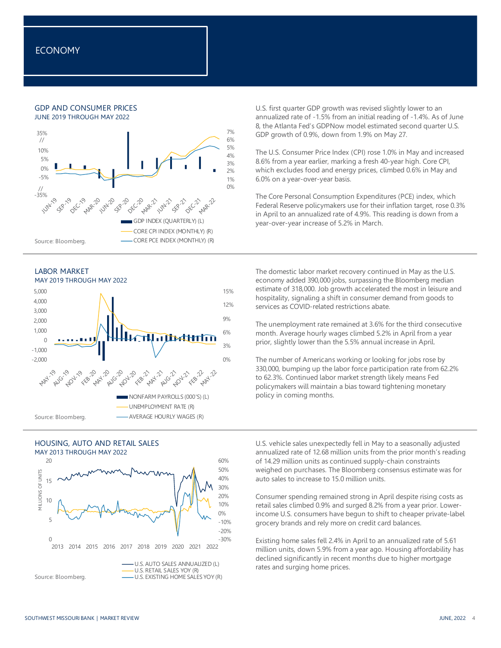### GDP AND CONSUMER PRICES JUNE 2019 THROUGH MAY 2022









U.S. first quarter GDP growth was revised slightly lower to an annualized rate of -1.5% from an initial reading of -1.4%. As of June 8, the Atlanta Fed's GDPNow model estimated second quarter U.S. GDP growth of 0.9%, down from 1.9% on May 27.

The U.S. Consumer Price Index (CPI) rose 1.0% in May and increased 8.6% from a year earlier, marking a fresh 40-year high. Core CPI, which excludes food and energy prices, climbed 0.6% in May and 6.0% on a year-over-year basis.

The Core Personal Consumption Expenditures (PCE) index, which Federal Reserve policymakers use for their inflation target, rose 0.3% in April to an annualized rate of 4.9%. This reading is down from a year-over-year increase of 5.2% in March.

The domestic labor market recovery continued in May as the U.S. economy added 390,000 jobs, surpassing the Bloomberg median estimate of 318,000. Job growth accelerated the most in leisure and hospitality, signaling a shift in consumer demand from goods to services as COVID-related restrictions abate.

The unemployment rate remained at 3.6% for the third consecutive month. Average hourly wages climbed 5.2% in April from a year prior, slightly lower than the 5.5% annual increase in April.

The number of Americans working or looking for jobs rose by 330,000, bumping up the labor force participation rate from 62.2% to 62.3%. Continued labor market strength likely means Fed policymakers will maintain a bias toward tightening monetary policy in coming months.

U.S. vehicle sales unexpectedly fell in May to a seasonally adjusted annualized rate of 12.68 million units from the prior month's reading of 14.29 million units as continued supply-chain constraints weighed on purchases. The Bloomberg consensus estimate was for auto sales to increase to 15.0 million units.

Consumer spending remained strong in April despite rising costs as retail sales climbed 0.9% and surged 8.2% from a year prior. Lowerincome U.S. consumers have begun to shift to cheaper private-label grocery brands and rely more on credit card balances.

Existing home sales fell 2.4% in April to an annualized rate of 5.61 million units, down 5.9% from a year ago. Housing affordability has declined significantly in recent months due to higher mortgage rates and surging home prices.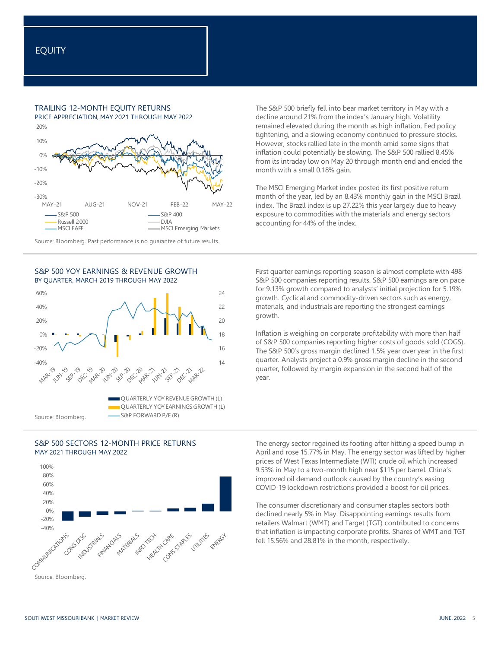## TRAILING 12-MONTH EQUITY RETURNS

PRICE APPRECIATION, MAY 2021 THROUGH MAY 2022



Source: Bloomberg. Past performance is no guarantee of future results.









The S&P 500 briefly fell into bear market territory in May with a decline around 21% from the index's January high. Volatility remained elevated during the month as high inflation, Fed policy tightening, and a slowing economy continued to pressure stocks. However, stocks rallied late in the month amid some signs that inflation could potentially be slowing. The S&P 500 rallied 8.45% from its intraday low on May 20 through month end and ended the month with a small 0.18% gain.

The MSCI Emerging Market index posted its first positive return month of the year, led by an 8.43% monthly gain in the MSCI Brazil index. The Brazil index is up 27.22% this year largely due to heavy exposure to commodities with the materials and energy sectors accounting for 44% of the index.

First quarter earnings reporting season is almost complete with 498 S&P 500 companies reporting results. S&P 500 earnings are on pace for 9.13% growth compared to analysts' initial projection for 5.19% growth. Cyclical and commodity-driven sectors such as energy, materials, and industrials are reporting the strongest earnings growth.

Inflation is weighing on corporate profitability with more than half of S&P 500 companies reporting higher costs of goods sold (COGS). The S&P 500's gross margin declined 1.5% year over year in the first quarter. Analysts project a 0.9% gross margin decline in the second quarter, followed by margin expansion in the second half of the year.

The energy sector regained its footing after hitting a speed bump in April and rose 15.77% in May. The energy sector was lifted by higher prices of West Texas Intermediate (WTI) crude oil which increased 9.53% in May to a two-month high near \$115 per barrel. China's improved oil demand outlook caused by the country's easing COVID-19 lockdown restrictions provided a boost for oil prices.

The consumer discretionary and consumer staples sectors both declined nearly 5% in May. Disappointing earnings results from retailers Walmart (WMT) and Target (TGT) contributed to concerns that inflation is impacting corporate profits. Shares of WMT and TGT fell 15.56% and 28.81% in the month, respectively.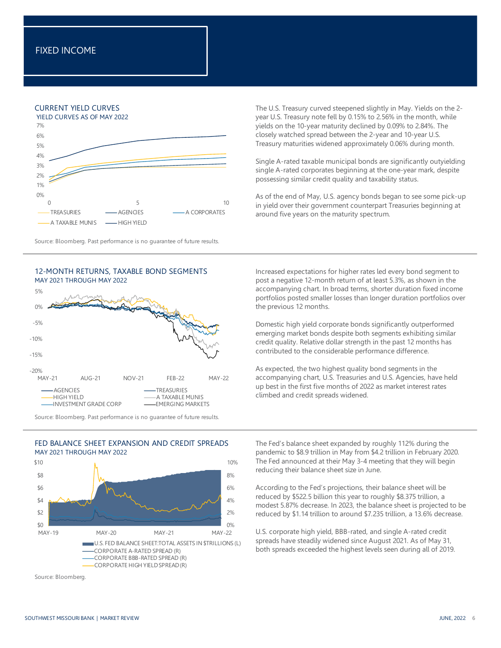## CURRENT YIELD CURVES



Source: Bloomberg. Past performance is no guarantee of future results.



Source: Bloomberg. Past performance is no guarantee of future results.

0% 2% 4% 6% 8% 10%  $$0$  $$2$ \$4 \$6 \$8  $$10$ MAY-19 MAY-20 MAY-21 MAY-22 U.S. FED BALANCE SHEET:TOTAL ASSETS IN \$TRILLIONS (L) CORPORATE A-RATED SPREAD (R) CORPORATE BBB-RATED SPREAD (R) CORPORATE HIGH YIELD SPREAD (R)

The U.S. Treasury curved steepened slightly in May. Yields on the 2 year U.S. Treasury note fell by 0.15% to 2.56% in the month, while yields on the 10-year maturity declined by 0.09% to 2.84%. The closely watched spread between the 2-year and 10-year U.S. Treasury maturities widened approximately 0.06% during month.

Single A-rated taxable municipal bonds are significantly outyielding single A-rated corporates beginning at the one-year mark, despite possessing similar credit quality and taxability status.

As of the end of May, U.S. agency bonds began to see some pick-up in yield over their government counterpart Treasuries beginning at around five years on the maturity spectrum.

Increased expectations for higher rates led every bond segment to post a negative 12-month return of at least 5.3%, as shown in the accompanying chart. In broad terms, shorter duration fixed income portfolios posted smaller losses than longer duration portfolios over the previous 12 months.

Domestic high yield corporate bonds significantly outperformed emerging market bonds despite both segments exhibiting similar credit quality. Relative dollar strength in the past 12 months has contributed to the considerable performance difference.

As expected, the two highest quality bond segments in the accompanying chart, U.S. Treasuries and U.S. Agencies, have held up best in the first five months of 2022 as market interest rates climbed and credit spreads widened.

The Fed's balance sheet expanded by roughly 112% during the pandemic to \$8.9 trillion in May from \$4.2 trillion in February 2020. The Fed announced at their May 3-4 meeting that they will begin reducing their balance sheet size in June.

According to the Fed's projections, their balance sheet will be reduced by \$522.5 billion this year to roughly \$8.375 trillion, a modest 5.87% decrease. In 2023, the balance sheet is projected to be reduced by \$1.14 trillion to around \$7.235 trillion, a 13.6% decrease.

U.S. corporate high yield, BBB-rated, and single A-rated credit spreads have steadily widened since August 2021. As of May 31, both spreads exceeded the highest levels seen during all of 2019.

### FED BALANCE SHEET EXPANSION AND CREDIT SPREADS MAY 2021 THROUGH MAY 2022

Source: Bloomberg.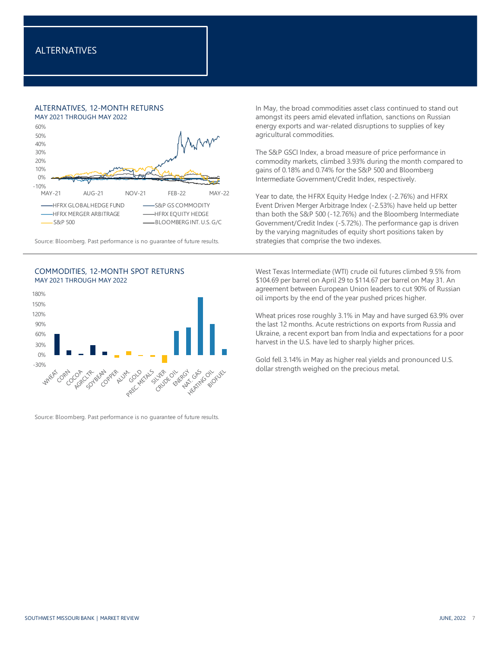# ALTERNATIVES, 12-MONTH RETURNS



Source: Bloomberg. Past performance is no guarantee of future results. strategies that comprise the two indexes.





Source: Bloomberg. Past performance is no guarantee of future results.

In May, the broad commodities asset class continued to stand out amongst its peers amid elevated inflation, sanctions on Russian energy exports and war-related disruptions to supplies of key agricultural commodities.

The S&P GSCI Index, a broad measure of price performance in commodity markets, climbed 3.93% during the month compared to gains of 0.18% and 0.74% for the S&P 500 and Bloomberg Intermediate Government/Credit Index, respectively.

Year to date, the HFRX Equity Hedge Index (-2.76%) and HFRX Event Driven Merger Arbitrage Index (-2.53%) have held up better than both the S&P 500 (-12.76%) and the Bloomberg Intermediate Government/Credit Index (-5.72%). The performance gap is driven by the varying magnitudes of equity short positions taken by

West Texas Intermediate (WTI) crude oil futures climbed 9.5% from \$104.69 per barrel on April 29 to \$114.67 per barrel on May 31. An agreement between European Union leaders to cut 90% of Russian oil imports by the end of the year pushed prices higher.

Wheat prices rose roughly 3.1% in May and have surged 63.9% over the last 12 months. Acute restrictions on exports from Russia and Ukraine, a recent export ban from India and expectations for a poor harvest in the U.S. have led to sharply higher prices.

Gold fell 3.14% in May as higher real yields and pronounced U.S. dollar strength weighed on the precious metal.